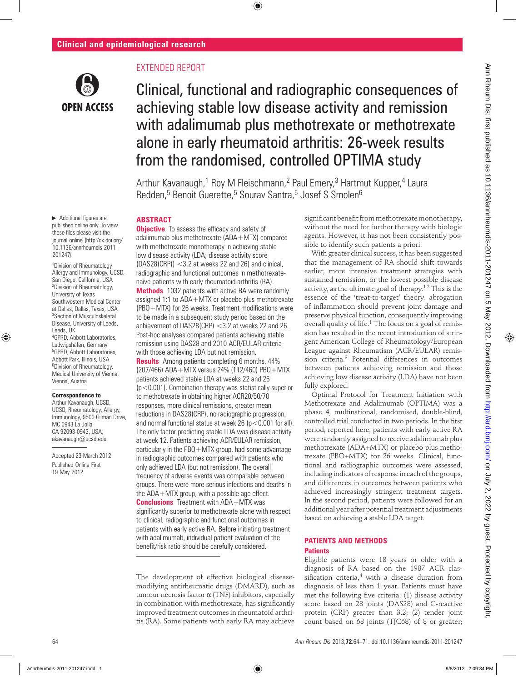

# EXTENDED REPORT

Clinical, functional and radiographic consequences of achieving stable low disease activity and remission with adalimumab plus methotrexate or methotrexate alone in early rheumatoid arthritis: 26-week results from the randomised, controlled OPTIMA study

Arthur Kavanaugh,<sup>1</sup> Roy M Fleischmann,<sup>2</sup> Paul Emery,<sup>3</sup> Hartmut Kupper,<sup>4</sup> Laura Redden,<sup>5</sup> Benoit Guerette,<sup>5</sup> Sourav Santra,<sup>5</sup> Josef S Smolen<sup>6</sup>

# **ABSTRACT**

 $\blacktriangleright$  Additional figures are published online only. To view these files please visit the journal online (http:/dx.doi.org/ 10.1136/annrheumdis-2011- 201247).

1 Division of Rheumatology Allergy and Immunology, UCSD, San Diego, California, USA 2 Division of Rheumatology, University of Texas Southwestern Medical Center at Dallas, Dallas, Texas, USA 3 Section of Musculoskeletal Disease, University of Leeds, Leeds, UK 4 GPRD, Abbott Laboratories, Ludwigshafen, Germany 5 GPRD, Abbott Laboratories, Abbott Park, Illinois, USA 6 Division of Rheumatology, Medical University of Vienna, Vienna, Austria

#### **Correspondence to**

Arthur Kavanaugh, UCSD, UCSD, Rheumatology, Allergy, Immunology, 9500 Gilman Drive, MC 0943 La Jolla CA 92093-0943, USA; akavanaugh@ucsd.edu

Accepted 23 March 2012 Published Online First 19 May 2012

**Objective** To assess the efficacy and safety of adalimumab plus methotrexate (ADA+MTX) compared with methotrexate monotherapy in achieving stable low disease activity (LDA; disease activity score  $(DAS28(CRP)) < 3.2$  at weeks 22 and 26) and clinical, radiographic and functional outcomes in methotrexatenaive patients with early rheumatoid arthritis (RA). **Methods** 1032 patients with active RA were randomly assigned 1:1 to ADA+MTX or placebo plus methotrexate  $(PBO + MTX)$  for 26 weeks. Treatment modifications were to be made in a subsequent study period based on the achievement of DAS28(CRP) <3.2 at weeks 22 and 26. Post-hoc analyses compared patients achieving stable remission using DAS28 and 2010 ACR/EULAR criteria with those achieving LDA but not remission. **Results** Among patients completing 6 months, 44% (207/466) ADA+MTX versus 24% (112/460) PBO+MTX patients achieved stable LDA at weeks 22 and 26 (p<0.001). Combination therapy was statistically superior to methotrexate in obtaining higher ACR20/50/70 responses, more clinical remissions, greater mean reductions in DAS28(CRP), no radiographic progression, and normal functional status at week 26 ( $p$  < 0.001 for all). The only factor predicting stable LDA was disease activity at week 12. Patients achieving ACR/EULAR remission, particularly in the  $PBO+MTX$  group, had some advantage in radiographic outcomes compared with patients who only achieved LDA (but not remission). The overall frequency of adverse events was comparable between groups. There were more serious infections and deaths in the  $ADA+MTX$  group, with a possible age effect. **Conclusions** Treatment with ADA+MTX was significantly superior to methotrexate alone with respect to clinical, radiographic and functional outcomes in patients with early active RA. Before initiating treatment with adalimumab, individual patient evaluation of the benefit/risk ratio should be carefully considered.

The development of effective biological diseasemodifying antirheumatic drugs (DMARD), such as tumour necrosis factor α (TNF) inhibitors, especially in combination with methotrexate, has significantly improved treatment outcomes in rheumatoid arthritis (RA). Some patients with early RA may achieve

significant benefit from methotrexate monotherapy, without the need for further therapy with biologic agents. However, it has not been consistently possible to identify such patients a priori.

With greater clinical success, it has been suggested that the management of RA should shift towards earlier, more intensive treatment strategies with sustained remission, or the lowest possible disease activity, as the ultimate goal of therapy.<sup>12</sup> This is the essence of the 'treat-to-target' theory: abrogation of inflammation should prevent joint damage and preserve physical function, consequently improving overall quality of life.1 The focus on a goal of remission has resulted in the recent introduction of stringent American College of Rheumatology/European League against Rheumatism (ACR/EULAR) remission criteria.3 Potential differences in outcomes between patients achieving remission and those achieving low disease activity (LDA) have not been fully explored.

Optimal Protocol for Treatment Initiation with Methotrexate and Adalimumab (OPTIMA) was a phase 4, multinational, randomised, double-blind, controlled trial conducted in two periods. In the first period, reported here, patients with early active RA were randomly assigned to receive adalimumab plus methotrexate (ADA+MTX) or placebo plus methotrexate (PBO+MTX) for 26 weeks. Clinical, functional and radiographic outcomes were assessed, including indicators of response in each of the groups, and differences in outcomes between patients who achieved increasingly stringent treatment targets. In the second period, patients were followed for an additional year after potential treatment adjustments based on achieving a stable LDA target.

# **PATIENTS AND METHODS Patients**

Eligible patients were 18 years or older with a diagnosis of RA based on the 1987 ACR classification criteria, $4$  with a disease duration from diagnosis of less than 1 year. Patients must have met the following five criteria: (1) disease activity score based on 28 joints (DAS28) and C-reactive protein (CRP) greater than 3.2; (2) tender joint count based on 68 joints (TJC68) of 8 or greater;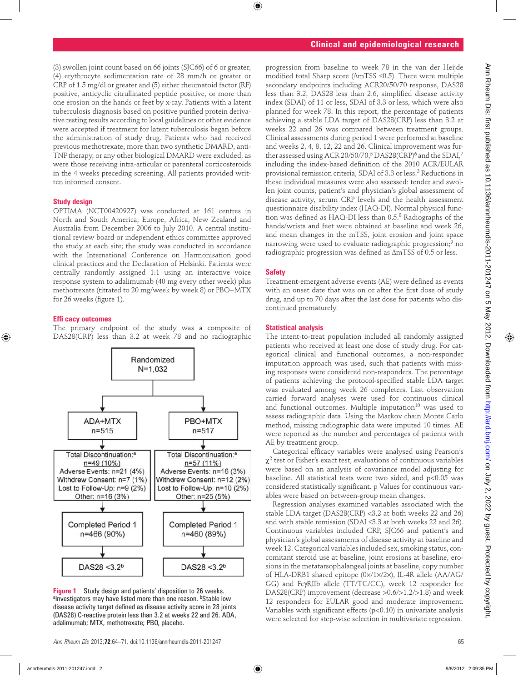(3) swollen joint count based on 66 joints (SJC66) of 6 or greater; (4) erythrocyte sedimentation rate of 28 mm/h or greater or CRP of 1.5 mg/dl or greater and (5) either rheumatoid factor (RF) positive, anticyclic citrullinated peptide positive, or more than one erosion on the hands or feet by x-ray. Patients with a latent tuberculosis diagnosis based on positive purified protein derivative testing results according to local guidelines or other evidence were accepted if treatment for latent tuberculosis began before the administration of study drug. Patients who had received previous methotrexate, more than two synthetic DMARD, anti-TNF therapy, or any other biological DMARD were excluded, as were those receiving intra-articular or parenteral corticosteroids in the 4 weeks preceding screening. All patients provided written informed consent.

## **Study design**

OPTIMA (NCT00420927) was conducted at 161 centres in North and South America, Europe, Africa, New Zealand and Australia from December 2006 to July 2010. A central institutional review board or independent ethics committee approved the study at each site; the study was conducted in accordance with the International Conference on Harmonisation good clinical practices and the Declaration of Helsinki. Patients were centrally randomly assigned 1:1 using an interactive voice response system to adalimumab (40 mg every other week) plus methotrexate (titrated to 20 mg/week by week 8) or PBO+MTX for 26 weeks (figure 1).

#### **Effi cacy outcomes**

The primary endpoint of the study was a composite of DAS28(CRP) less than 3.2 at week 78 and no radiographic



**Figure 1** Study design and patients' disposition to 26 weeks. Investigators may have listed more than one reason. **bStable low** disease activity target defined as disease activity score in 28 joints (DAS28) C-reactive protein less than 3.2 at weeks 22 and 26. ADA, adalimumab; MTX, methotrexate; PBO, placebo.

progression from baseline to week 78 in the van der Heijde modified total Sharp score ( $\Delta$ mTSS ≤0.5). There were multiple secondary endpoints including ACR20/50/70 response, DAS28 less than 3.2, DAS28 less than 2.6, simplified disease activity index (SDAI) of 11 or less, SDAI of 3.3 or less, which were also planned for week 78. In this report, the percentage of patients achieving a stable LDA target of DAS28(CRP) less than 3.2 at weeks 22 and 26 was compared between treatment groups. Clinical assessments during period 1 were performed at baseline and weeks 2, 4, 8, 12, 22 and 26. Clinical improvement was further assessed using ACR 20/50/70,<sup>5</sup> DAS28(CRP)<sup>6</sup> and the SDAI,<sup>7</sup> including the index-based definition of the 2010 ACR/EULAR provisional remission criteria, SDAI of 3.3 or less.<sup>3</sup> Reductions in these individual measures were also assessed: tender and swollen joint counts, patient's and physician's global assessment of disease activity, serum CRP levels and the health assessment questionnaire disability index (HAQ-DI). Normal physical function was defined as HAQ-DI less than  $0.5$ .<sup>8</sup> Radiographs of the hands/wrists and feet were obtained at baseline and week 26, and mean changes in the mTSS, joint erosion and joint space narrowing were used to evaluate radiographic progression;<sup>9</sup> no radiographic progression was defined as  $\Delta$ mTSS of 0.5 or less.

## **Safety**

Treatment-emergent adverse events (AE) were defined as events with an onset date that was on or after the first dose of study drug, and up to 70 days after the last dose for patients who discontinued prematurely.

#### **Statistical analysis**

The intent-to-treat population included all randomly assigned patients who received at least one dose of study drug. For categorical clinical and functional outcomes, a non-responder imputation approach was used, such that patients with missing responses were considered non-responders. The percentage of patients achieving the protocol-specified stable LDA target was evaluated among week 26 completers. Last observation carried forward analyses were used for continuous clinical and functional outcomes. Multiple imputation $10$  was used to assess radiographic data. Using the Markov chain Monte Carlo method, missing radiographic data were imputed 10 times. AE were reported as the number and percentages of patients with AE by treatment group.

Categorical efficacy variables were analysed using Pearson's  $\chi^2$  test or Fisher's exact test; evaluations of continuous variables were based on an analysis of covariance model adjusting for baseline. All statistical tests were two sided, and p<0.05 was considered statistically significant. p Values for continuous variables were based on between-group mean changes.

Regression analyses examined variables associated with the stable LDA target (DAS28(CRP) <3.2 at both weeks 22 and 26) and with stable remission (SDAI ≤3.3 at both weeks 22 and 26). Continuous variables included CRP, SJC66 and patient's and physician's global assessments of disease activity at baseline and week 12. Categorical variables included sex, smoking status, concomitant steroid use at baseline, joint erosions at baseline, erosions in the metatarsophalangeal joints at baseline, copy number of HLA-DRB1 shared epitope (0×/1×/2×), IL-4R allele (AA/AG/ GG) and FcγRIIb allele (TT/TC/CC), week 12 responder for DAS28(CRP) improvement (decrease >0.6/>1.2/>1.8) and week 12 responders for EULAR good and moderate improvement. Variables with significant effects ( $p<0.10$ ) in univariate analysis were selected for step-wise selection in multivariate regression.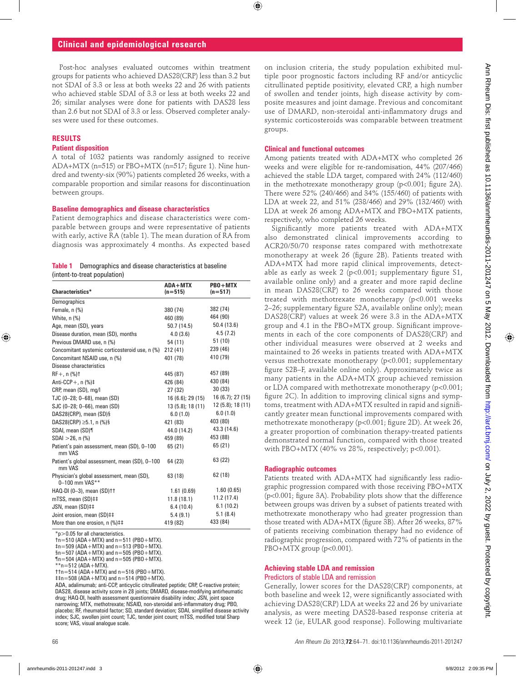Post-hoc analyses evaluated outcomes within treatment groups for patients who achieved DAS28(CRP) less than 3.2 but not SDAI of 3.3 or less at both weeks 22 and 26 with patients who achieved stable SDAI of 3.3 or less at both weeks 22 and 26; similar analyses were done for patients with DAS28 less than 2.6 but not SDAI of 3.3 or less. Observed completer analyses were used for these outcomes.

## **RESULTS**

# **Patient disposition**

A total of 1032 patients was randomly assigned to receive ADA+MTX ( $n=515$ ) or PBO+MTX ( $n=517$ ; figure 1). Nine hundred and twenty-six (90%) patients completed 26 weeks, with a comparable proportion and similar reasons for discontinuation between groups.

#### **Baseline demographics and disease characteristics**

Patient demographics and disease characteristics were comparable between groups and were representative of patients with early, active RA (table 1). The mean duration of RA from diagnosis was approximately 4 months. As expected based

| Table 1 | Demographics and disease characteristics at baseline |  |  |
|---------|------------------------------------------------------|--|--|
|         | (intent-to-treat population)                         |  |  |

| <b>Characteristics*</b>                                     | $ADA + MTX$<br>$(n=515)$ | $PBO + MTX$<br>$(n=517)$ |
|-------------------------------------------------------------|--------------------------|--------------------------|
| Demographics                                                |                          |                          |
| Female, n (%)                                               | 380 (74)                 | 382 (74)                 |
| White, n (%)                                                | 460 (89)                 | 464 (90)                 |
| Age, mean (SD), years                                       | 50.7 (14.5)              | 50.4 (13.6)              |
| Disease duration, mean (SD), months                         | 4.0(3.6)                 | 4.5(7.2)                 |
| Previous DMARD use, n (%)                                   | 54 (11)                  | 51(10)                   |
| Concomitant systemic corticosteroid use, n (%)              | 212 (41)                 | 239 (46)                 |
| Concomitant NSAID use, n (%)                                | 401 (78)                 | 410 (79)                 |
| Disease characteristics                                     |                          |                          |
| $RF +$ , n $(\%)$ †                                         | 445 (87)                 | 457 (89)                 |
| Anti-CCP + , $n$ (%) $\ddagger$                             | 426 (84)                 | 430 (84)                 |
| CRP, mean (SD), mg/l                                        | 27 (32)                  | 30 (33)                  |
| TJC (0-28; 0-68), mean (SD)                                 | 16 (6.6); 29 (15)        | 16 (6.7); 27 (15)        |
| SJC (0-28; 0-66), mean (SD)                                 | 13 (5.8); 18 (11)        | 12 (5.8); 18 (11)        |
| DAS28(CRP), mean (SD)§                                      | 6.0(1.0)                 | 6.0(1.0)                 |
| DAS28(CRP) $\geq$ 5.1, n (%)§                               | 421 (83)                 | 403 (80)                 |
| SDAI, mean (SD)¶                                            | 44.0 (14.2)              | 43.3 (14.6)              |
| $SDAI > 26$ , n $(\%)$                                      | 459 (89)                 | 453 (88)                 |
| Patient's pain assessment, mean (SD), 0-100<br>mm VAS       | 65 (21)                  | 65 (21)                  |
| Patient's global assessment, mean (SD), 0-100<br>mm VAS     | 64 (23)                  | 63 (22)                  |
| Physician's global assessment, mean (SD),<br>0-100 mm VAS** | 63 (18)                  | 62 (18)                  |
| $HAQ-DI$ (0-3), mean (SD) $\uparrow\uparrow$                | 1.61(0.69)               | 1.60(0.65)               |
| mTSS, mean (SD)##                                           | 11.8(18.1)               | 11.2(17.4)               |
| JSN, mean (SD)##                                            | 6.4(10.4)                | 6.1(10.2)                |
| Joint erosion, mean (SD)##                                  | 5.4(9.1)                 | 5.1(8.4)                 |
| More than one erosion, n (%)##                              | 419 (82)                 | 433 (84)                 |

 $*p > 0.05$  for all characteristics.

 $tn = 510$  (ADA+MTX) and  $n = 511$  (PBO+MTX).

‡n=509 (ADA+MTX) and n=513 (PBO+MTX).

 $$n=507$  (ADA+MTX) and  $n=505$  (PBO+MTX).

 $In=504 (ADA+MTX)$  and  $n=505 (PBO+MTX)$ .

 $***n=512$  (ADA + MTX).

 $\text{ttn}=514 \text{ (ADA}+\text{MTX)}$  and n=516 (PBO+MTX). ‡‡n=508 (ADA+MTX) and n=514 (PBO+MTX).

ADA, adalimumab; anti-CCP, anticyclic citrullinated peptide; CRP, C-reactive protein; DAS28, disease activity score in 28 joints; DMARD, disease-modifying antirheumatic drug; HAQ-DI, health assessment questionnaire disability index; JSN, joint space narrowing; MTX, methotrexate; NSAID, non-steroidal anti-inflammatory drug; PBO, placebo; RF, rheumatoid factor; SD, standard deviation; SDAI, simplified disease activity index; SJC, swollen joint count; TJC, tender joint count; mTSS, modified total Sharp score; VAS, visual analogue scale.

on inclusion criteria, the study population exhibited multiple poor prognostic factors including RF and/or anticyclic citrullinated peptide positivity, elevated CRP, a high number of swollen and tender joints, high disease activity by composite measures and joint damage. Previous and concomitant use of DMARD, non-steroidal anti-inflammatory drugs and systemic corticosteroids was comparable between treatment groups.

### **Clinical and functional outcomes**

Among patients treated with ADA+MTX who completed 26 weeks and were eligible for re-randomisation, 44% (207/466) achieved the stable LDA target, compared with 24% (112/460) in the methotrexate monotherapy group  $(p<0.001$ ; figure 2A). There were 52% (240/466) and 34% (155/460) of patients with LDA at week 22, and 51% (238/466) and 29% (132/460) with LDA at week 26 among ADA+MTX and PBO+MTX patients, respectively, who completed 26 weeks.

Significantly more patients treated with ADA+MTX also demonstrated clinical improvements according to ACR20/50/70 response rates compared with methotrexate monotherapy at week 26 (figure 2B). Patients treated with ADA+MTX had more rapid clinical improvements, detectable as early as week 2 ( $p<0.001$ ; supplementary figure S1, available online only) and a greater and more rapid decline in mean DAS28(CRP) to 26 weeks compared with those treated with methotrexate monotherapy (p<0.001 weeks  $2-26$ ; supplementary figure S2A, available online only); mean DAS28(CRP) values at week 26 were 3.3 in the ADA+MTX group and 4.1 in the PBO+MTX group. Significant improvements in each of the core components of DAS28(CRP) and other individual measures were observed at 2 weeks and maintained to 26 weeks in patients treated with ADA+MTX versus methotrexate monotherapy (p<0.001; supplementary figure S2B-F, available online only). Approximately twice as many patients in the ADA+MTX group achieved remission or LDA compared with methotrexate monotherapy (p<0.001; figure 2C). In addition to improving clinical signs and symptoms, treatment with ADA+MTX resulted in rapid and significantly greater mean functional improvements compared with methotrexate monotherapy ( $p<0.001$ ; figure 2D). At week 26, a greater proportion of combination therapy-treated patients demonstrated normal function, compared with those treated with PBO+MTX (40% vs 28%, respectively; p<0.001).

#### **Radiographic outcomes**

Patients treated with ADA+MTX had significantly less radiographic progression compared with those receiving PBO+MTX  $(p<0.001$ ; figure 3A). Probability plots show that the difference between groups was driven by a subset of patients treated with methotrexate monotherapy who had greater progression than those treated with ADA+MTX (figure 3B). After 26 weeks, 87% of patients receiving combination therapy had no evidence of radiographic progression, compared with 72% of patients in the  $PBO+MTX$  group ( $p<0.001$ ).

## **Achieving stable LDA and remission**

## Predictors of stable LDA and remission

Generally, lower scores for the DAS28(CRP) components, at both baseline and week 12, were significantly associated with achieving DAS28(CRP) LDA at weeks 22 and 26 by univariate analysis, as were meeting DAS28-based response criteria at week 12 (ie, EULAR good response). Following multivariate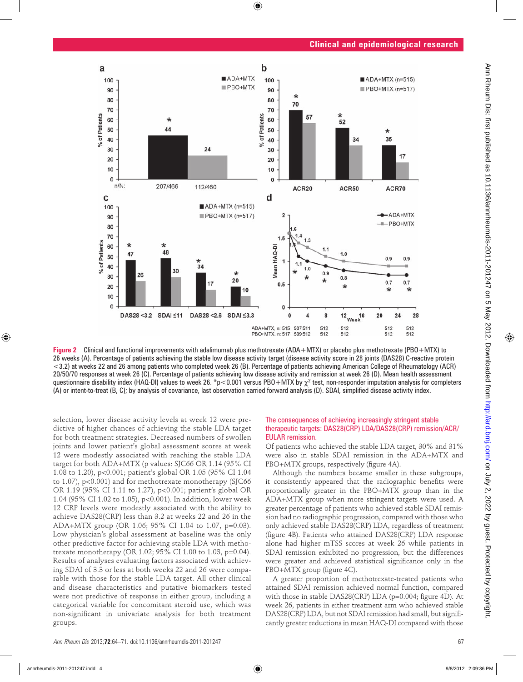

**Figure 2** Clinical and functional improvements with adalimumab plus methotrexate (ADA+MTX) or placebo plus methotrexate (PBO+MTX) to 26 weeks (A). Percentage of patients achieving the stable low disease activity target (disease activity score in 28 joints (DAS28) C-reactive protein <3.2) at weeks 22 and 26 among patients who completed week 26 (B). Percentage of patients achieving American College of Rheumatology (ACR) 20/50/70 responses at week 26 (C). Percentage of patients achieving low disease activity and remission at week 26 (D). Mean health assessment questionnaire disability index (HAQ-DI) values to week 26. \*p<0.001 versus PBO+MTX by  $\chi^2$  test, non-responder imputation analysis for completers (A) or intent-to-treat (B, C); by analysis of covariance, last observation carried forward analysis (D). SDAI, simplified disease activity index.

selection, lower disease activity levels at week 12 were predictive of higher chances of achieving the stable LDA target for both treatment strategies. Decreased numbers of swollen joints and lower patient's global assessment scores at week 12 were modestly associated with reaching the stable LDA target for both ADA+MTX (p values: SJC66 OR 1.14 (95% CI 1.08 to 1.20), p<0.001; patient's global OR 1.05 (95% CI 1.04 to 1.07), p<0.001) and for methotrexate monotherapy (SJC66 OR 1.19 (95% CI 1.11 to 1.27), p<0.001; patient's global OR 1.04 (95% CI 1.02 to 1.05), p<0.001). In addition, lower week 12 CRP levels were modestly associated with the ability to achieve DAS28(CRP) less than 3.2 at weeks 22 and 26 in the ADA+MTX group (OR 1.06; 95% CI 1.04 to 1.07, p=0.03). Low physician's global assessment at baseline was the only other predictive factor for achieving stable LDA with methotrexate monotherapy (OR 1.02; 95% CI 1.00 to 1.03, p=0.04). Results of analyses evaluating factors associated with achieving SDAI of 3.3 or less at both weeks 22 and 26 were comparable with those for the stable LDA target. All other clinical and disease characteristics and putative biomarkers tested were not predictive of response in either group, including a categorical variable for concomitant steroid use, which was non-significant in univariate analysis for both treatment groups.

## The consequences of achieving increasingly stringent stable therapeutic targets: DAS28(CRP) LDA/DAS28(CRP) remission/ACR/ EULAR remission.

Of patients who achieved the stable LDA target, 30% and 31% were also in stable SDAI remission in the ADA+MTX and PBO+MTX groups, respectively (figure 4A).

Although the numbers became smaller in these subgroups, it consistently appeared that the radiographic benefits were proportionally greater in the PBO+MTX group than in the ADA+MTX group when more stringent targets were used. A greater percentage of patients who achieved stable SDAI remission had no radiographic progression, compared with those who only achieved stable DAS28(CRP) LDA, regardless of treatment (figure 4B). Patients who attained DAS28(CRP) LDA response alone had higher mTSS scores at week 26 while patients in SDAI remission exhibited no progression, but the differences were greater and achieved statistical significance only in the PBO+MTX group (figure 4C).

A greater proportion of methotrexate-treated patients who attained SDAI remission achieved normal function, compared with those in stable DAS28(CRP) LDA (p=0.004; figure 4D). At week 26, patients in either treatment arm who achieved stable DAS28(CRP) LDA, but not SDAI remission had small, but significantly greater reductions in mean HAQ-DI compared with those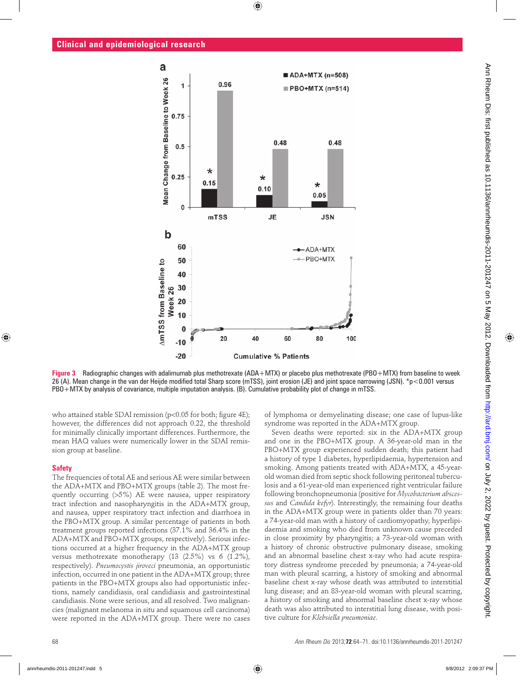

**Figure 3** Radiographic changes with adalimumab plus methotrexate (ADA+MTX) or placebo plus methotrexate (PBO+MTX) from baseline to week 26 (A). Mean change in the van der Heijde modified total Sharp score (mTSS), joint erosion (JE) and joint space narrowing (JSN). \*p<0.001 versus PBO+MTX by analysis of covariance, multiple imputation analysis. (B). Cumulative probability plot of change in mTSS.

who attained stable SDAI remission ( $p<0.05$  for both; figure 4E); however, the differences did not approach 0.22, the threshold for minimally clinically important differences. Furthermore, the mean HAQ values were numerically lower in the SDAI remission group at baseline.

## **Safety**

The frequencies of total AE and serious AE were similar between the ADA+MTX and PBO+MTX groups (table 2). The most frequently occurring (>5%) AE were nausea, upper respiratory tract infection and nasopharyngitis in the ADA+MTX group, and nausea, upper respiratory tract infection and diarrhoea in the PBO+MTX group. A similar percentage of patients in both treatment groups reported infections (37.1% and 36.4% in the ADA+MTX and PBO+MTX groups, respectively). Serious infections occurred at a higher frequency in the ADA+MTX group versus methotrexate monotherapy (13 (2.5%) vs 6 (1.2%), respectively). *Pneumocystis jiroveci* pneumonia, an opportunistic infection, occurred in one patient in the ADA+MTX group; three patients in the PBO+MTX groups also had opportunistic infections, namely candidiasis, oral candidiasis and gastrointestinal candidiasis. None were serious, and all resolved. Two malignancies (malignant melanoma in situ and squamous cell carcinoma) were reported in the ADA+MTX group. There were no cases

of lymphoma or demyelinating disease; one case of lupus-like syndrome was reported in the ADA+MTX group.

Seven deaths were reported: six in the ADA+MTX group and one in the PBO+MTX group. A 36-year-old man in the PBO+MTX group experienced sudden death; this patient had a history of type 1 diabetes, hyperlipidaemia, hypertension and smoking. Among patients treated with ADA+MTX, a 45-yearold woman died from septic shock following peritoneal tuberculosis and a 61-year-old man experienced right ventricular failure following bronchopneumonia (positive for *Mycobacterium abscessus* and *Candida kefyr*). Interestingly, the remaining four deaths in the ADA+MTX group were in patients older than 70 years: a 74-year-old man with a history of cardiomyopathy, hyperlipidaemia and smoking who died from unknown cause preceded in close proximity by pharyngitis; a 73-year-old woman with a history of chronic obstructive pulmonary disease, smoking and an abnormal baseline chest x-ray who had acute respiratory distress syndrome preceded by pneumonia; a 74-year-old man with pleural scarring, a history of smoking and abnormal baseline chest x-ray whose death was attributed to interstitial lung disease; and an 83-year-old woman with pleural scarring, a history of smoking and abnormal baseline chest x-ray whose death was also attributed to interstitial lung disease, with positive culture for *Klebsiella pneumoniae*.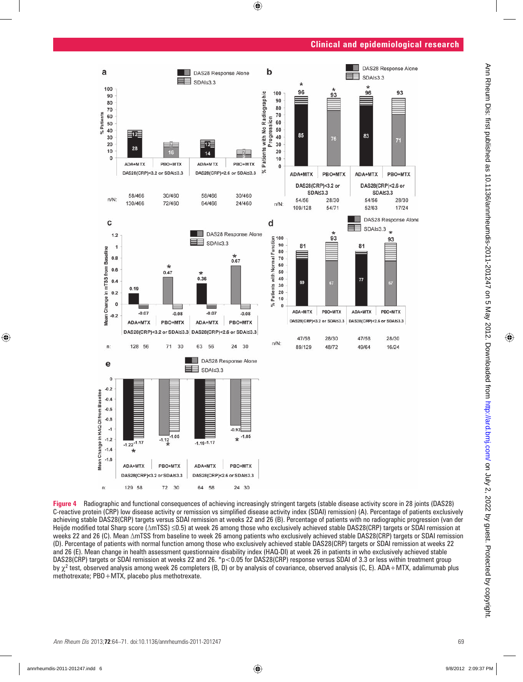# **Clinical and epidemiological research**



**Figure 4** Radiographic and functional consequences of achieving increasingly stringent targets (stable disease activity score in 28 joints (DAS28) C-reactive protein (CRP) low disease activity or remission vs simplified disease activity index (SDAI) remission) (A). Percentage of patients exclusively achieving stable DAS28(CRP) targets versus SDAI remission at weeks 22 and 26 (B). Percentage of patients with no radiographic progression (van der Heijde modified total Sharp score (ΔmTSS) ≤0.5) at week 26 among those who exclusively achieved stable DAS28(CRP) targets or SDAI remission at weeks 22 and 26 (C). Mean ΔmTSS from baseline to week 26 among patients who exclusively achieved stable DAS28(CRP) targets or SDAI remission (D). Percentage of patients with normal function among those who exclusively achieved stable DAS28(CRP) targets or SDAI remission at weeks 22 and 26 (E). Mean change in health assessment questionnaire disability index (HAQ-DI) at week 26 in patients in who exclusively achieved stable DAS28(CRP) targets or SDAI remission at weeks 22 and 26. \*p<0.05 for DAS28(CRP) response versus SDAI of 3.3 or less within treatment group by  $\gamma^2$  test, observed analysis among week 26 completers (B, D) or by analysis of covariance, observed analysis (C, E). ADA + MTX, adalimumab plus methotrexate; PBO+MTX, placebo plus methotrexate.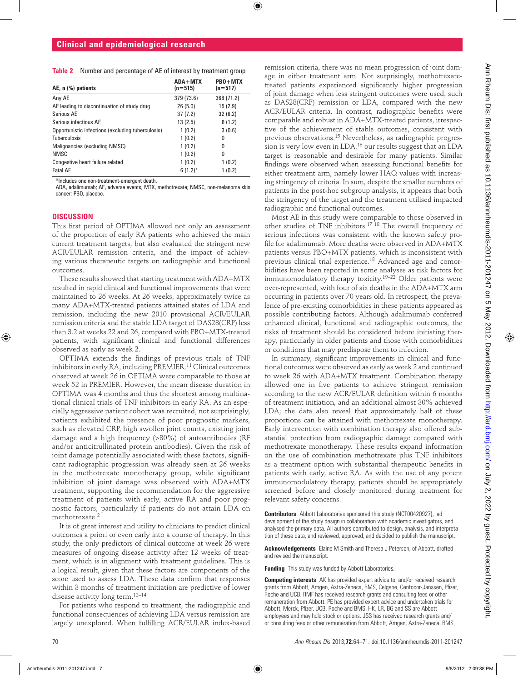|  | <b>Table 2</b> Number and percentage of AE of interest by treatment group |  |
|--|---------------------------------------------------------------------------|--|
|--|---------------------------------------------------------------------------|--|

| AE, $n$ $%$ patients                              | $ADA + MTX$<br>$(n=515)$ | $PB0+MTX$<br>$(n=517)$ |
|---------------------------------------------------|--------------------------|------------------------|
| Any AE                                            | 379 (73.6)               | 368 (71.2)             |
| AE leading to discontinuation of study drug       | 26(5.0)                  | 15(2.9)                |
| Serious AE                                        | 37(7.2)                  | 32(6.2)                |
| Serious infectious AE                             | 13(2.5)                  | 6(1.2)                 |
| Opportunistic infections (excluding tuberculosis) | 1(0.2)                   | 3(0.6)                 |
| <b>Tuberculosis</b>                               | 1(0.2)                   | ŋ                      |
| Malignancies (excluding NMSC)                     | 1(0.2)                   | ŋ                      |
| <b>NMSC</b>                                       | 1(0.2)                   | 0                      |
| Congestive heart failure related                  | 1(0.2)                   | 1(0.2)                 |
| <b>Fatal AE</b>                                   | $6(1.2)$ *               | 1(0.2)                 |

\*Includes one non-treatment-emergent death.

ADA, adalimumab; AE, adverse events; MTX, methotrexate; NMSC, non-melanoma skin cancer; PBO, placebo.

#### **DISCUSSION**

This first period of OPTIMA allowed not only an assessment of the proportion of early RA patients who achieved the main current treatment targets, but also evaluated the stringent new ACR/EULAR remission criteria, and the impact of achieving various therapeutic targets on radiographic and functional outcomes.

These results showed that starting treatment with ADA+MTX resulted in rapid clinical and functional improvements that were maintained to 26 weeks. At 26 weeks, approximately twice as many ADA+MTX-treated patients attained states of LDA and remission, including the new 2010 provisional ACR/EULAR remission criteria and the stable LDA target of DAS28(CRP) less than 3.2 at weeks 22 and 26, compared with PBO+MTX-treated patients, with significant clinical and functional differences observed as early as week 2.

OPTIMA extends the findings of previous trials of TNF inhibitors in early RA, including PREMIER.<sup>11</sup> Clinical outcomes observed at week 26 in OPTIMA were comparable to those at week 52 in PREMIER. However, the mean disease duration in OPTIMA was 4 months and thus the shortest among multinational clinical trials of TNF inhibitors in early RA. As an especially aggressive patient cohort was recruited, not surprisingly, patients exhibited the presence of poor prognostic markers, such as elevated CRP, high swollen joint counts, existing joint damage and a high frequency (>80%) of autoantibodies (RF and/or anticitrullinated protein antibodies). Given the risk of joint damage potentially associated with these factors, significant radiographic progression was already seen at 26 weeks in the methotrexate monotherapy group, while significant inhibition of joint damage was observed with ADA+MTX treatment, supporting the recommendation for the aggressive treatment of patients with early, active RA and poor prognostic factors, particularly if patients do not attain LDA on methotrexate.<sup>2</sup>

It is of great interest and utility to clinicians to predict clinical outcomes a priori or even early into a course of therapy. In this study, the only predictors of clinical outcome at week 26 were measures of ongoing disease activity after 12 weeks of treatment, which is in alignment with treatment guidelines. This is a logical result, given that these factors are components of the score used to assess LDA. These data confirm that responses within 3 months of treatment initiation are predictive of lower disease activity long term.12–14

For patients who respond to treatment, the radiographic and functional consequences of achieving LDA versus remission are largely unexplored. When fulfilling ACR/EULAR index-based remission criteria, there was no mean progression of joint damage in either treatment arm. Not surprisingly, methotrexatetreated patients experienced significantly higher progression of joint damage when less stringent outcomes were used, such as DAS28(CRP) remission or LDA, compared with the new ACR/EULAR criteria. In contrast, radiographic benefits were comparable and robust in ADA+MTX-treated patients, irrespective of the achievement of stable outcomes, consistent with previous observations.15 Nevertheless, as radiographic progression is very low even in LDA,<sup>16</sup> our results suggest that an LDA target is reasonable and desirable for many patients. Similar findings were observed when assessing functional benefits for either treatment arm, namely lower HAQ values with increasing stringency of criteria. In sum, despite the smaller numbers of patients in the post-hoc subgroup analysis, it appears that both the stringency of the target and the treatment utilised impacted radiographic and functional outcomes.

Most AE in this study were comparable to those observed in other studies of TNF inhibitors.<sup>17</sup><sup>18</sup> The overall frequency of serious infections was consistent with the known safety profile for adalimumab. More deaths were observed in ADA+MTX patients versus PBO+MTX patients, which is inconsistent with previous clinical trial experience.18 Advanced age and comorbidities have been reported in some analyses as risk factors for immunomodulatory therapy toxicity.<sup>19–22</sup> Older patients were over-represented, with four of six deaths in the ADA+MTX arm occurring in patients over 70 years old. In retrospect, the prevalence of pre-existing comorbidities in these patients appeared as possible contributing factors. Although adalimumab conferred enhanced clinical, functional and radiographic outcomes, the risks of treatment should be considered before initiating therapy, particularly in older patients and those with comorbidities or conditions that may predispose them to infection.

In summary, significant improvements in clinical and functional outcomes were observed as early as week 2 and continued to week 26 with ADA+MTX treatment. Combination therapy allowed one in five patients to achieve stringent remission according to the new ACR/EULAR definition within 6 months of treatment initiation, and an additional almost 30% achieved LDA; the data also reveal that approximately half of these proportions can be attained with methotrexate monotherapy. Early intervention with combination therapy also offered substantial protection from radiographic damage compared with methotrexate monotherapy. These results expand information on the use of combination methotrexate plus TNF inhibitors as a treatment option with substantial therapeutic benefits in patients with early, active RA. As with the use of any potent immunomodulatory therapy, patients should be appropriately screened before and closely monitored during treatment for relevant safety concerns.

**Contributors** Abbott Laboratories sponsored this study (NCT00420927), led development of the study design in collaboration with academic investigators, and analysed the primary data. All authors contributed to design, analysis, and interpretation of these data, and reviewed, approved, and decided to publish the manuscript.

**Acknowledgements** Elaine M Smith and Theresa J Peterson, of Abbott, drafted and revised the manuscript.

**Funding** This study was funded by Abbott Laboratories.

**Competing interests** AK has provided expert advice to, and/or received research grants from Abbott, Amgen, Astra-Zeneca, BMS, Celgene, Centocor-Janssen, Pfizer, Roche and UCB. RMF has received research grants and consulting fees or other remuneration from Abbott. PE has provided expert advice and undertaken trials for Abbott, Merck, Pfizer, UCB, Roche and BMS. HK, LR, BG and SS are Abbott employees and may hold stock or options. JSS has received research grants and/ or consulting fees or other remuneration from Abbott, Amgen, Astra-Zeneca, BMS,